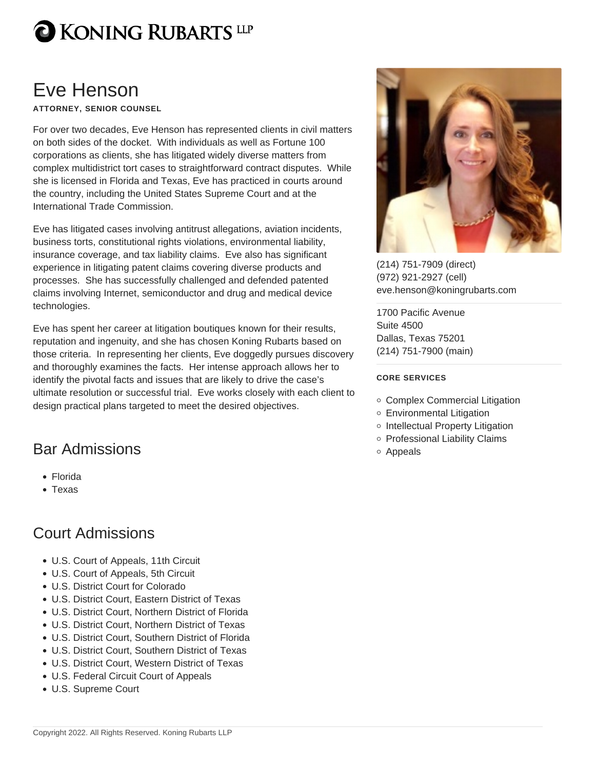### Eve Henson

ATTORNEY, SENIOR COUNSEL

For over two decades, Eve Henson has represented clients in civil matters on both sides of the docket. With individuals as well as Fortune 100 corporations as clients, she has litigated widely diverse matters from complex multidistrict tort cases to straightforward contract disputes. While she is licensed in Florida and Texas, Eve has practiced in courts around the country, including the United States Supreme Court and at the International Trade Commission.

Eve has litigated cases involving antitrust allegations, aviation incidents, business torts, constitutional rights violations, environmental liability, insurance coverage, and tax liability claims. Eve also has significant experience in litigating patent claims covering diverse products and processes. She has successfully challenged and defended patented claims involving Internet, semiconductor and drug and medical device technologies.

Eve has spent her career at litigation boutiques known for their results, reputation and ingenuity, and she has chosen Koning Rubarts based on those criteria. In representing her clients, Eve doggedly pursues discovery and thoroughly examines the facts. Her intense approach allows her to identify the pivotal facts and issues that are likely to drive the case's ultimate resolution or successful trial. Eve works closely with each client to design practical plans targeted to meet the desired objectives.

#### Bar Admissions

- Florida
- Texas

#### Court Admissions

- U.S. Court of Appeals, 11th Circuit
- U.S. Court of Appeals, 5th Circuit
- U.S. District Court for Colorado
- U.S. District Court, Eastern District of Texas
- U.S. District Court, Northern District of Florida
- U.S. District Court, Northern District of Texas
- U.S. District Court, Southern District of Florida
- U.S. District Court, Southern District of Texas
- U.S. District Court, Western District of Texas
- U.S. Federal Circuit Court of Appeals
- U.S. Supreme Court

[\(214\) 751-7909](tel:2147517909) [\(direct\)](tel:2147517909) [\(972\) 921-2927](tel:9729212927) [\(cell\)](tel:9729212927) [eve.henson@koningrubarts.com](mailto:eve.henson@koningrubarts.com)

[1700 Pacific Avenue](https://www.koningrubarts.com/contact/) [Suite 4500](https://www.koningrubarts.com/contact/) [Dallas](https://www.koningrubarts.com/contact/), [Texas](https://www.koningrubarts.com/contact/) [75201](https://www.koningrubarts.com/contact/) [\(214\) 751-7900](tel:2147517900) [\(main\)](tel:2147517900)

#### CORE SERVICES

- Complex Commercial Litigation
- Environmental Litigation
- o Intellectual Property Litigation
- o Professional Liability Claims
- Appeals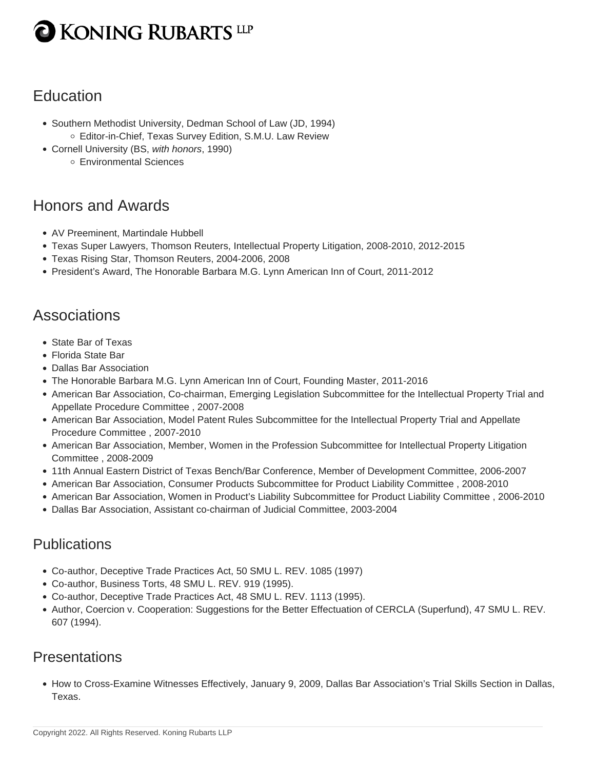## **KONING RUBARTS LLP**

### **Education**

- Southern Methodist University, Dedman School of Law (JD, 1994) Editor-in-Chief, Texas Survey Edition, S.M.U. Law Review
- Cornell University (BS, with honors, 1990)
	- Environmental Sciences

#### Honors and Awards

- AV Preeminent, Martindale Hubbell
- Texas Super Lawyers, Thomson Reuters, Intellectual Property Litigation, 2008-2010, 2012-2015
- Texas Rising Star, Thomson Reuters, 2004-2006, 2008
- President's Award, The Honorable Barbara M.G. Lynn American Inn of Court, 2011-2012

#### Associations

- State Bar of Texas
- Florida State Bar
- Dallas Bar Association
- The Honorable Barbara M.G. Lynn American Inn of Court, Founding Master, 2011-2016
- American Bar Association, Co-chairman, Emerging Legislation Subcommittee for the Intellectual Property Trial and Appellate Procedure Committee , 2007-2008
- American Bar Association, Model Patent Rules Subcommittee for the Intellectual Property Trial and Appellate Procedure Committee , 2007-2010
- American Bar Association, Member, Women in the Profession Subcommittee for Intellectual Property Litigation Committee , 2008-2009
- 11th Annual Eastern District of Texas Bench/Bar Conference, Member of Development Committee, 2006-2007
- American Bar Association, Consumer Products Subcommittee for Product Liability Committee , 2008-2010
- American Bar Association, Women in Product's Liability Subcommittee for Product Liability Committee , 2006-2010
- Dallas Bar Association, Assistant co-chairman of Judicial Committee, 2003-2004

#### **Publications**

- Co-author, Deceptive Trade Practices Act, 50 SMU L. REV. 1085 (1997)
- Co-author, Business Torts, 48 SMU L. REV. 919 (1995).
- Co-author, Deceptive Trade Practices Act, 48 SMU L. REV. 1113 (1995).
- Author, Coercion v. Cooperation: Suggestions for the Better Effectuation of CERCLA (Superfund), 47 SMU L. REV. 607 (1994).

#### **Presentations**

How to Cross-Examine Witnesses Effectively, January 9, 2009, Dallas Bar Association's Trial Skills Section in Dallas, Texas.